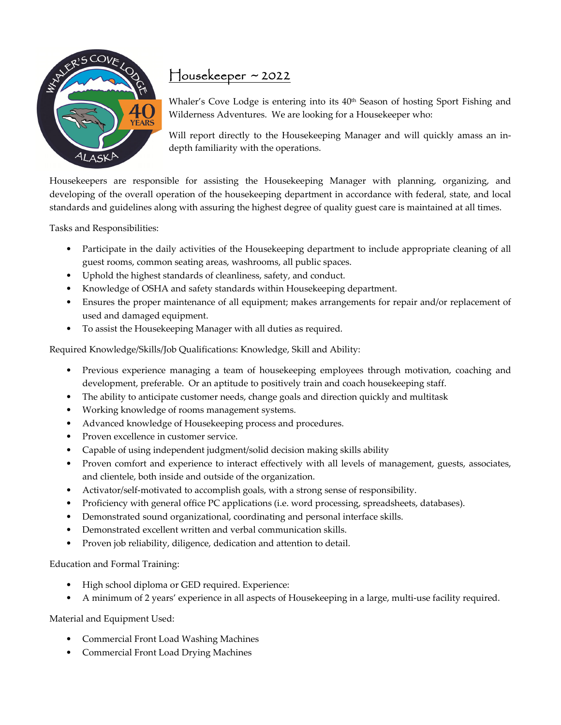

## Housekeeper ~ 2022

Whaler's Cove Lodge is entering into its 40<sup>th</sup> Season of hosting Sport Fishing and Wilderness Adventures. We are looking for a Housekeeper who:

Will report directly to the Housekeeping Manager and will quickly amass an indepth familiarity with the operations.

Housekeepers are responsible for assisting the Housekeeping Manager with planning, organizing, and developing of the overall operation of the housekeeping department in accordance with federal, state, and local standards and guidelines along with assuring the highest degree of quality guest care is maintained at all times.

Tasks and Responsibilities:

- Participate in the daily activities of the Housekeeping department to include appropriate cleaning of all guest rooms, common seating areas, washrooms, all public spaces.
- Uphold the highest standards of cleanliness, safety, and conduct.
- Knowledge of OSHA and safety standards within Housekeeping department.
- Ensures the proper maintenance of all equipment; makes arrangements for repair and/or replacement of used and damaged equipment.
- To assist the Housekeeping Manager with all duties as required.

Required Knowledge/Skills/Job Qualifications: Knowledge, Skill and Ability:

- Previous experience managing a team of housekeeping employees through motivation, coaching and development, preferable. Or an aptitude to positively train and coach housekeeping staff.
- The ability to anticipate customer needs, change goals and direction quickly and multitask
- Working knowledge of rooms management systems.
- Advanced knowledge of Housekeeping process and procedures.
- Proven excellence in customer service.
- Capable of using independent judgment/solid decision making skills ability
- Proven comfort and experience to interact effectively with all levels of management, guests, associates, and clientele, both inside and outside of the organization.
- Activator/self-motivated to accomplish goals, with a strong sense of responsibility.
- Proficiency with general office PC applications (i.e. word processing, spreadsheets, databases).
- Demonstrated sound organizational, coordinating and personal interface skills.
- Demonstrated excellent written and verbal communication skills.
- Proven job reliability, diligence, dedication and attention to detail.

Education and Formal Training:

- High school diploma or GED required. Experience:
- A minimum of 2 years' experience in all aspects of Housekeeping in a large, multi-use facility required.

Material and Equipment Used:

- Commercial Front Load Washing Machines
- Commercial Front Load Drying Machines